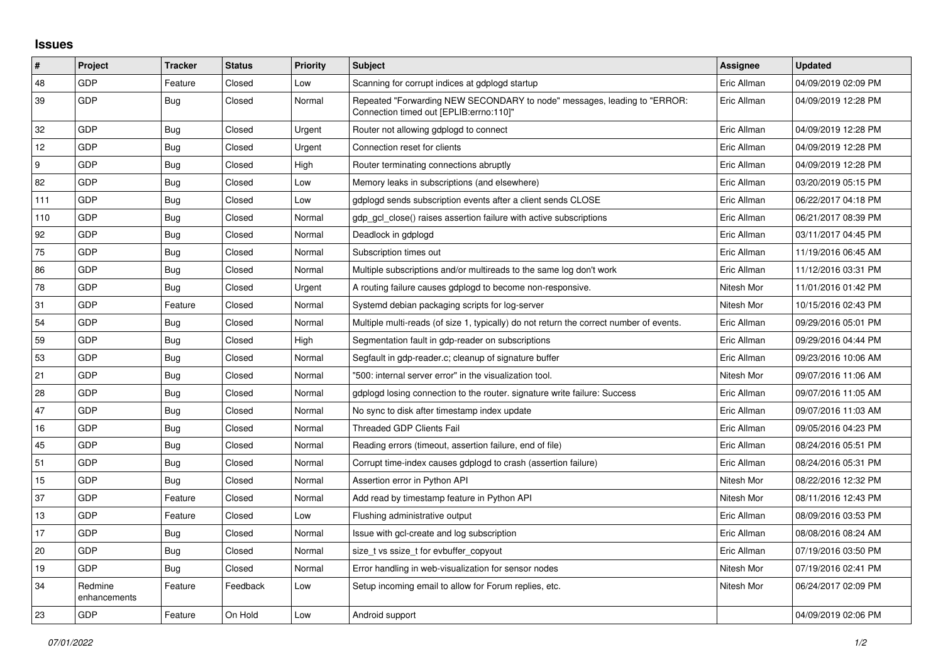## **Issues**

| $\vert$ # | Project                 | <b>Tracker</b> | <b>Status</b> | Priority | <b>Subject</b>                                                                                                      | Assignee    | <b>Updated</b>      |
|-----------|-------------------------|----------------|---------------|----------|---------------------------------------------------------------------------------------------------------------------|-------------|---------------------|
| 48        | GDP                     | Feature        | Closed        | Low      | Scanning for corrupt indices at gdplogd startup                                                                     | Eric Allman | 04/09/2019 02:09 PM |
| 39        | <b>GDP</b>              | <b>Bug</b>     | Closed        | Normal   | Repeated "Forwarding NEW SECONDARY to node" messages, leading to "ERROR:<br>Connection timed out [EPLIB:errno:110]" | Eric Allman | 04/09/2019 12:28 PM |
| 32        | GDP                     | Bug            | Closed        | Urgent   | Router not allowing gdplogd to connect                                                                              | Eric Allman | 04/09/2019 12:28 PM |
| 12        | GDP                     | Bug            | Closed        | Urgent   | Connection reset for clients                                                                                        | Eric Allman | 04/09/2019 12:28 PM |
| 9         | <b>GDP</b>              | <b>Bug</b>     | Closed        | High     | Router terminating connections abruptly                                                                             | Eric Allman | 04/09/2019 12:28 PM |
| 82        | GDP                     | <b>Bug</b>     | Closed        | Low      | Memory leaks in subscriptions (and elsewhere)                                                                       | Eric Allman | 03/20/2019 05:15 PM |
| 111       | GDP                     | Bug            | Closed        | Low      | gdplogd sends subscription events after a client sends CLOSE                                                        | Eric Allman | 06/22/2017 04:18 PM |
| 110       | GDP                     | Bug            | Closed        | Normal   | gdp gcl close() raises assertion failure with active subscriptions                                                  | Eric Allman | 06/21/2017 08:39 PM |
| 92        | GDP                     | <b>Bug</b>     | Closed        | Normal   | Deadlock in gdplogd                                                                                                 | Eric Allman | 03/11/2017 04:45 PM |
| 75        | GDP                     | Bug            | Closed        | Normal   | Subscription times out                                                                                              | Eric Allman | 11/19/2016 06:45 AM |
| 86        | GDP                     | Bug            | Closed        | Normal   | Multiple subscriptions and/or multireads to the same log don't work                                                 | Eric Allman | 11/12/2016 03:31 PM |
| 78        | GDP                     | Bug            | Closed        | Urgent   | A routing failure causes gdplogd to become non-responsive.                                                          | Nitesh Mor  | 11/01/2016 01:42 PM |
| 31        | GDP                     | Feature        | Closed        | Normal   | Systemd debian packaging scripts for log-server                                                                     | Nitesh Mor  | 10/15/2016 02:43 PM |
| 54        | GDP                     | <b>Bug</b>     | Closed        | Normal   | Multiple multi-reads (of size 1, typically) do not return the correct number of events.                             | Eric Allman | 09/29/2016 05:01 PM |
| 59        | GDP                     | Bug            | Closed        | High     | Segmentation fault in gdp-reader on subscriptions                                                                   | Eric Allman | 09/29/2016 04:44 PM |
| 53        | GDP                     | <b>Bug</b>     | Closed        | Normal   | Segfault in gdp-reader.c; cleanup of signature buffer                                                               | Eric Allman | 09/23/2016 10:06 AM |
| 21        | GDP                     | <b>Bug</b>     | Closed        | Normal   | '500: internal server error" in the visualization tool.                                                             | Nitesh Mor  | 09/07/2016 11:06 AM |
| 28        | GDP                     | <b>Bug</b>     | Closed        | Normal   | gdplogd losing connection to the router, signature write failure: Success                                           | Eric Allman | 09/07/2016 11:05 AM |
| 47        | GDP                     | Bug            | Closed        | Normal   | No sync to disk after timestamp index update                                                                        | Eric Allman | 09/07/2016 11:03 AM |
| 16        | GDP                     | Bug            | Closed        | Normal   | Threaded GDP Clients Fail                                                                                           | Eric Allman | 09/05/2016 04:23 PM |
| 45        | GDP                     | <b>Bug</b>     | Closed        | Normal   | Reading errors (timeout, assertion failure, end of file)                                                            | Eric Allman | 08/24/2016 05:51 PM |
| 51        | GDP                     | <b>Bug</b>     | Closed        | Normal   | Corrupt time-index causes gdplogd to crash (assertion failure)                                                      | Eric Allman | 08/24/2016 05:31 PM |
| 15        | GDP                     | <b>Bug</b>     | Closed        | Normal   | Assertion error in Python API                                                                                       | Nitesh Mor  | 08/22/2016 12:32 PM |
| 37        | GDP                     | Feature        | Closed        | Normal   | Add read by timestamp feature in Python API                                                                         | Nitesh Mor  | 08/11/2016 12:43 PM |
| 13        | GDP                     | Feature        | Closed        | Low      | Flushing administrative output                                                                                      | Eric Allman | 08/09/2016 03:53 PM |
| 17        | GDP                     | <b>Bug</b>     | Closed        | Normal   | Issue with gcl-create and log subscription                                                                          | Eric Allman | 08/08/2016 08:24 AM |
| 20        | GDP                     | <b>Bug</b>     | Closed        | Normal   | size t vs ssize t for evbuffer copyout                                                                              | Eric Allman | 07/19/2016 03:50 PM |
| 19        | GDP                     | Bug            | Closed        | Normal   | Error handling in web-visualization for sensor nodes                                                                | Nitesh Mor  | 07/19/2016 02:41 PM |
| 34        | Redmine<br>enhancements | Feature        | Feedback      | Low      | Setup incoming email to allow for Forum replies, etc.                                                               | Nitesh Mor  | 06/24/2017 02:09 PM |
| 23        | GDP                     | Feature        | On Hold       | Low      | Android support                                                                                                     |             | 04/09/2019 02:06 PM |